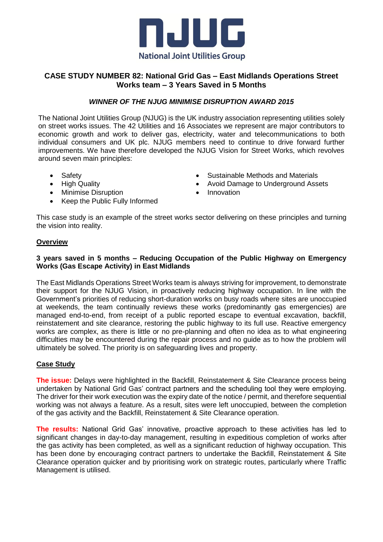

# **CASE STUDY NUMBER 82: National Grid Gas – East Midlands Operations Street Works team – 3 Years Saved in 5 Months**

## *WINNER OF THE NJUG MINIMISE DISRUPTION AWARD 2015*

The National Joint Utilities Group (NJUG) is the UK industry association representing utilities solely on street works issues. The 42 Utilities and 16 Associates we represent are major contributors to economic growth and work to deliver gas, electricity, water and telecommunications to both individual consumers and UK plc. NJUG members need to continue to drive forward further improvements. We have therefore developed the NJUG Vision for Street Works, which revolves around seven main principles:

- Safety
- High Quality
- Minimise Disruption
- Keep the Public Fully Informed
- Sustainable Methods and Materials
- Avoid Damage to Underground Assets
- Innovation

This case study is an example of the street works sector delivering on these principles and turning the vision into reality.

### **Overview**

## **3 years saved in 5 months – Reducing Occupation of the Public Highway on Emergency Works (Gas Escape Activity) in East Midlands**

The East Midlands Operations Street Works team is always striving for improvement, to demonstrate their support for the NJUG Vision, in proactively reducing highway occupation. In line with the Government's priorities of reducing short-duration works on busy roads where sites are unoccupied at weekends, the team continually reviews these works (predominantly gas emergencies) are managed end-to-end, from receipt of a public reported escape to eventual excavation, backfill, reinstatement and site clearance, restoring the public highway to its full use. Reactive emergency works are complex, as there is little or no pre-planning and often no idea as to what engineering difficulties may be encountered during the repair process and no guide as to how the problem will ultimately be solved. The priority is on safeguarding lives and property.

## **Case Study**

**The issue:** Delays were highlighted in the Backfill, Reinstatement & Site Clearance process being undertaken by National Grid Gas' contract partners and the scheduling tool they were employing. The driver for their work execution was the expiry date of the notice / permit, and therefore sequential working was not always a feature. As a result, sites were left unoccupied, between the completion of the gas activity and the Backfill, Reinstatement & Site Clearance operation.

**The results:** National Grid Gas' innovative, proactive approach to these activities has led to significant changes in day-to-day management, resulting in expeditious completion of works after the gas activity has been completed, as well as a significant reduction of highway occupation. This has been done by encouraging contract partners to undertake the Backfill, Reinstatement & Site Clearance operation quicker and by prioritising work on strategic routes, particularly where Traffic Management is utilised.